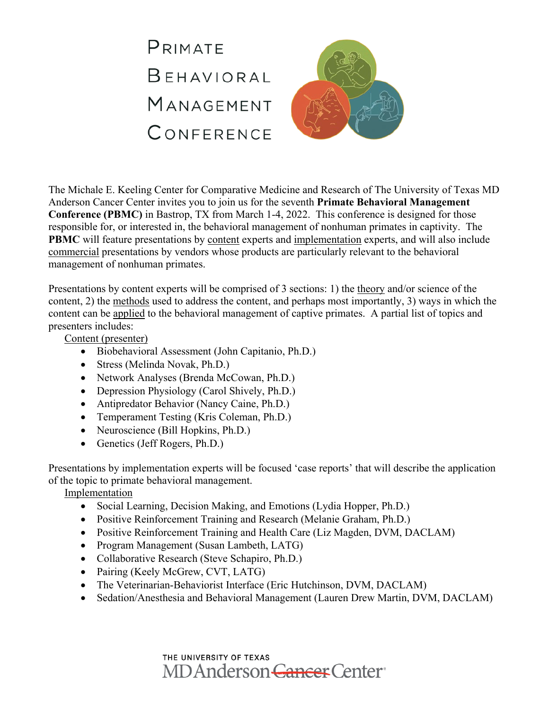

The Michale E. Keeling Center for Comparative Medicine and Research of The University of Texas MD Anderson Cancer Center invites you to join us for the seventh **Primate Behavioral Management Conference (PBMC)** in Bastrop, TX from March 1-4, 2022. This conference is designed for those responsible for, or interested in, the behavioral management of nonhuman primates in captivity. The **PBMC** will feature presentations by content experts and implementation experts, and will also include commercial presentations by vendors whose products are particularly relevant to the behavioral management of nonhuman primates.

Presentations by content experts will be comprised of 3 sections: 1) the theory and/or science of the content, 2) the methods used to address the content, and perhaps most importantly, 3) ways in which the content can be applied to the behavioral management of captive primates. A partial list of topics and presenters includes:

Content (presenter)

- Biobehavioral Assessment (John Capitanio, Ph.D.)
- Stress (Melinda Novak, Ph.D.)
- Network Analyses (Brenda McCowan, Ph.D.)
- Depression Physiology (Carol Shively, Ph.D.)
- Antipredator Behavior (Nancy Caine, Ph.D.)
- Temperament Testing (Kris Coleman, Ph.D.)
- Neuroscience (Bill Hopkins, Ph.D.)
- Genetics (Jeff Rogers, Ph.D.)

Presentations by implementation experts will be focused 'case reports' that will describe the application of the topic to primate behavioral management.

Implementation

- Social Learning, Decision Making, and Emotions (Lydia Hopper, Ph.D.)
- Positive Reinforcement Training and Research (Melanie Graham, Ph.D.)
- Positive Reinforcement Training and Health Care (Liz Magden, DVM, DACLAM)
- Program Management (Susan Lambeth, LATG)
- Collaborative Research (Steve Schapiro, Ph.D.)
- Pairing (Keely McGrew, CVT, LATG)
- The Veterinarian-Behaviorist Interface (Eric Hutchinson, DVM, DACLAM)
- Sedation/Anesthesia and Behavioral Management (Lauren Drew Martin, DVM, DACLAM)

THE UNIVERSITY OF TEXAS MD Anderson Cancer Center